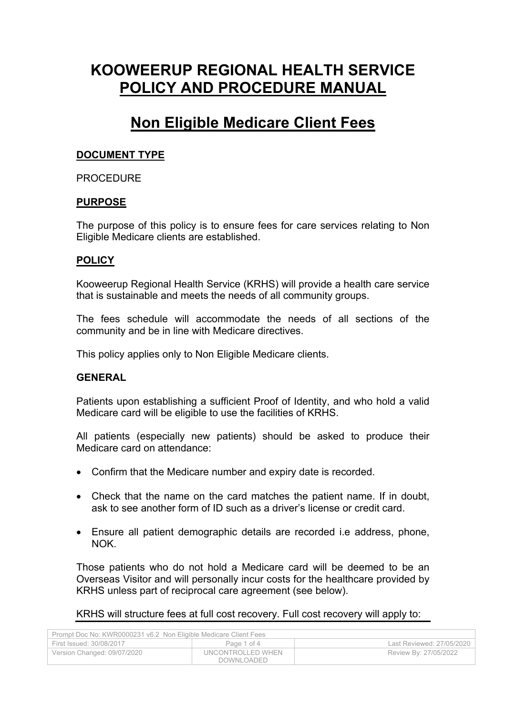# **KOOWEERUP REGIONAL HEALTH SERVICE POLICY AND PROCEDURE MANUAL**

## **Non Eligible Medicare Client Fees**

### **DOCUMENT TYPE**

#### PROCEDURE

#### **PURPOSE**

The purpose of this policy is to ensure fees for care services relating to Non Eligible Medicare clients are established.

#### **POLICY**

Kooweerup Regional Health Service (KRHS) will provide a health care service that is sustainable and meets the needs of all community groups.

The fees schedule will accommodate the needs of all sections of the community and be in line with Medicare directives.

This policy applies only to Non Eligible Medicare clients.

#### **GENERAL**

Patients upon establishing a sufficient Proof of Identity, and who hold a valid Medicare card will be eligible to use the facilities of KRHS.

All patients (especially new patients) should be asked to produce their Medicare card on attendance:

- Confirm that the Medicare number and expiry date is recorded.
- Check that the name on the card matches the patient name. If in doubt, ask to see another form of ID such as a driver's license or credit card.
- Ensure all patient demographic details are recorded i.e address, phone, NOK.

Those patients who do not hold a Medicare card will be deemed to be an Overseas Visitor and will personally incur costs for the healthcare provided by KRHS unless part of reciprocal care agreement (see below).

KRHS will structure fees at full cost recovery. Full cost recovery will apply to:

| Prompt Doc No: KWR0000231 v6.2 Non Eligible Medicare Client Fees |                                 |                           |  |
|------------------------------------------------------------------|---------------------------------|---------------------------|--|
| First Issued: 30/08/2017                                         | Page 1 of 4                     | Last Reviewed: 27/05/2020 |  |
| Version Changed: 09/07/2020                                      | UNCONTROLLED WHEN<br>DOWNLOADED | Review By: 27/05/2022     |  |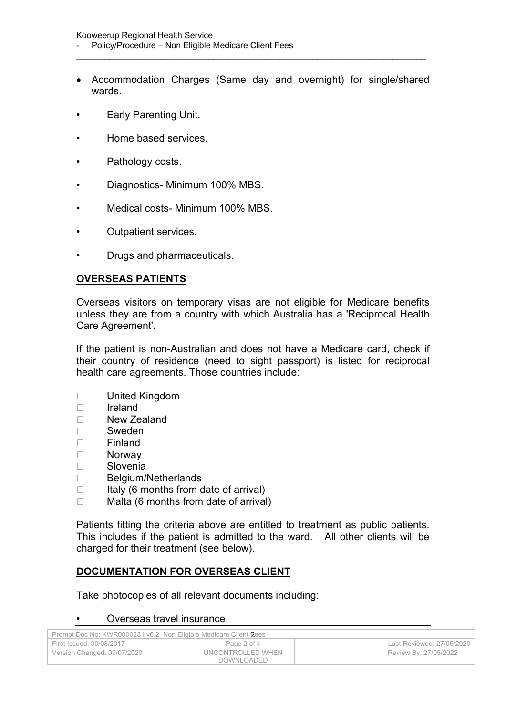Accommodation Charges (Same day and overnight) for single/shared wards.

\_\_\_\_\_\_\_\_\_\_\_\_\_\_\_\_\_\_\_\_\_\_\_\_\_\_\_\_\_\_\_\_\_\_\_\_\_\_\_\_\_\_\_\_\_\_\_\_\_\_\_\_\_\_\_\_\_\_\_\_\_\_\_\_\_\_\_\_\_\_\_\_\_\_

- Early Parenting Unit.
- Home based services.
- Pathology costs.
- Diagnostics- Minimum 100% MBS.
- Medical costs- Minimum 100% MBS.
- Outpatient services.
- Drugs and pharmaceuticals.

### **OVERSEAS PATIENTS**

Overseas visitors on temporary visas are not eligible for Medicare benefits unless they are from a country with which Australia has a 'Reciprocal Health Care Agreement'.

If the patient is non-Australian and does not have a Medicare card, check if their country of residence (need to sight passport) is listed for reciprocal health care agreements. Those countries include:

- United Kingdom
- $\Box$  Ireland
- □ New Zealand
- □ Sweden
- Finland
- Norway
- Slovenia
- D Belgium/Netherlands
- $\Box$  Italy (6 months from date of arrival)
- $\Box$  Malta (6 months from date of arrival)

Patients fitting the criteria above are entitled to treatment as public patients. This includes if the patient is admitted to the ward. All other clients will be charged for their treatment (see below).

## **DOCUMENTATION FOR OVERSEAS CLIENT**

Take photocopies of all relevant documents including:

#### • Overseas travel insurance

| Prompt Doc No: KWR0000231 v6.2 Non Eligible Medicare Client Pees |                   |                           |  |
|------------------------------------------------------------------|-------------------|---------------------------|--|
| First Issued: 30/08/2017                                         | Page 2 of 4       | Last Reviewed: 27/05/2020 |  |
| Version Changed: 09/07/2020                                      | UNCONTROLLED WHEN | Review By: 27/05/2022     |  |
|                                                                  | DOWNLOADED        |                           |  |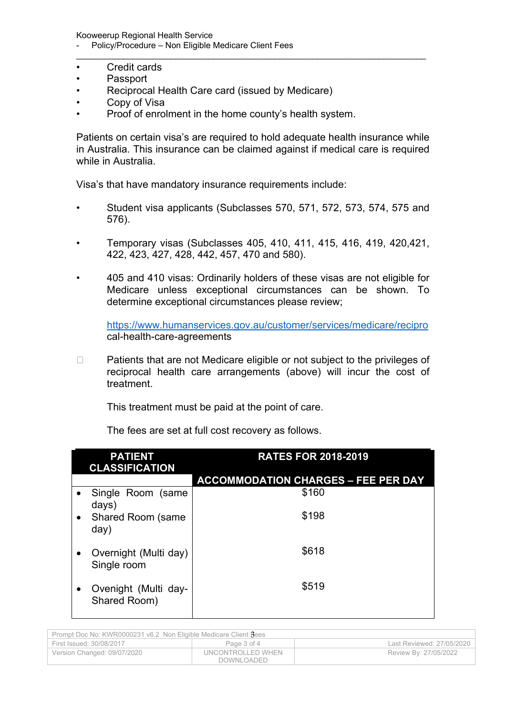Kooweerup Regional Health Service Policy/Procedure – Non Eligible Medicare Client Fees

- Credit cards
- Passport
- Reciprocal Health Care card (issued by Medicare)
- Copy of Visa
- Proof of enrolment in the home county's health system.

Patients on certain visa's are required to hold adequate health insurance while in Australia. This insurance can be claimed against if medical care is required while in Australia.

\_\_\_\_\_\_\_\_\_\_\_\_\_\_\_\_\_\_\_\_\_\_\_\_\_\_\_\_\_\_\_\_\_\_\_\_\_\_\_\_\_\_\_\_\_\_\_\_\_\_\_\_\_\_\_\_\_\_\_\_\_\_\_\_\_\_\_\_\_\_\_\_\_\_

Visa's that have mandatory insurance requirements include:

- Student visa applicants (Subclasses 570, 571, 572, 573, 574, 575 and 576).
- Temporary visas (Subclasses 405, 410, 411, 415, 416, 419, 420,421, 422, 423, 427, 428, 442, 457, 470 and 580).
- 405 and 410 visas: Ordinarily holders of these visas are not eligible for Medicare unless exceptional circumstances can be shown. To determine exceptional circumstances please review;

<https://www.humanservices.gov.au/customer/services/medicare/recipro> cal-health-care-agreements

□ Patients that are not Medicare eligible or not subject to the privileges of reciprocal health care arrangements (above) will incur the cost of treatment.

This treatment must be paid at the point of care.

| <b>PATIENT</b><br><b>CLASSIFICATION</b>           | <b>RATES FOR 2018-2019</b>                 |
|---------------------------------------------------|--------------------------------------------|
|                                                   | <b>ACCOMMODATION CHARGES - FEE PER DAY</b> |
| Single Room (same<br>days)                        | \$160                                      |
| <b>Shared Room (same</b><br>$\bullet$<br>day)     | \$198                                      |
| Overnight (Multi day)<br>$\bullet$<br>Single room | \$618                                      |
| Ovenight (Multi day-<br>$\bullet$<br>Shared Room) | \$519                                      |

The fees are set at full cost recovery as follows.

| Prompt Doc No: KWR0000231 v6.2 Non Eligible Medicare Client Bees |                                 |                           |
|------------------------------------------------------------------|---------------------------------|---------------------------|
| First Issued: 30/08/2017                                         | Page 3 of 4                     | Last Reviewed: 27/05/2020 |
| Version Changed: 09/07/2020                                      | UNCONTROLLED WHEN<br>DOWNLOADED | Review By: 27/05/2022     |